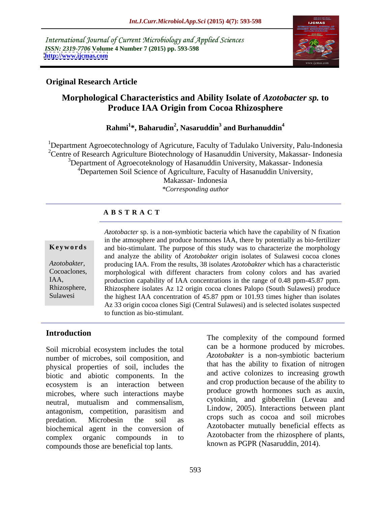International Journal of Current Microbiology and Applied Sciences *ISSN: 2319-7706* **Volume 4 Number 7 (2015) pp. 593-598 <http://www.ijcmas.com>**



## **Original Research Article**

## **Morphological Characteristics and Ability Isolate of** *Azotobacter sp.* **to Produce IAA Origin from Cocoa Rhizosphere**

### **Rahmi<sup>1</sup> \*, Baharudin<sup>2</sup> , Nasaruddin<sup>3</sup> and Burhanuddin<sup>4</sup>**

<sup>1</sup>Department Agroecotechnology of Agricuture, Faculty of Tadulako University, Palu-Indonesia <sup>2</sup>Centre of Research Agriculture Biotechnology of Hasanuddin University, Makassar-Indonesia <sup>3</sup>Department of Agroecoteknology of Hasanuddin University, Makassar-Indonesia <sup>4</sup>Departemen Soil Science of Agriculture, Faculty of Hasanuddin University, Makassar- Indonesia *\*Corresponding author*

## **A B S T R A C T**

Sulawesi

*Azotobacter* sp. is a non-symbiotic bacteria which have the capability of N fixation in the atmosphere and produce hormones IAA, there by potentially as bio-fertilizer and bio-stimulant. The purpose of this study was to characterize the morphology **Ke ywo rds** and analyze the ability of *Azotobakter* origin isolates of Sulawesi cocoa clones Azotobakter, producing IAA. From the results, 38 isolates *Azotobakter* which has a characteristic morphological with different characters from colony colors and has avaried morphological with different characters from colony colors and has avaried IAA, production capability of IAA concentrations in the range of 0.48 ppm-45.87 ppm. Rhizosphere, Rhizosphere isolates Az 12 origin cocoa clones Palopo (South Sulawesi) produce the highest IAA concentration of 45.87 ppm or 101.93 times higher than isolates Az 33 origin cocoa clones Sigi (Central Sulawesi) and is selected isolates suspected to function as bio-stimulant.

## **Introduction**

Soil microbial ecosystem includes the total number of microbes, soil composition, and physical properties of soil, includes the biotic and abiotic components. In the ecosystem is an interaction between microbes, where such interactions maybe neutral, mutualism and commensalism, antagonism, competition, parasitism and predation. Microbesin the soil as crops such as cocoa and soil incrobes biochemical agent in the conversion of Azotobacter mutually beneficial effects as<br>complex organic compounds in to Azotobacter from the rhizosphere of plants, complex organic compounds in to Azotobacter from the mizosphere of plants, compounds those are beneficial top lants.<br>Report on the set of the set of the set of the set of the set of the set of the set of the set of the set of the set of the set of the set of the set of the set of the set of the s

The complexity of the compound formed can be a hormone produced by microbes. *Azotobakter* is a non-symbiotic bacterium that has the ability to fixation of nitrogen and active colonizes to increasing growth and crop production because of the ability to produce growth hormones such as auxin, cytokinin, and gibberellin (Leveau and Lindow, 2005). Interactions between plant crops such as cocoa and soil microbes Azotobacter mutually beneficial effects as Azotobacter from the rhizosphere of plants, known as PGPR (Nasaruddin, 2014).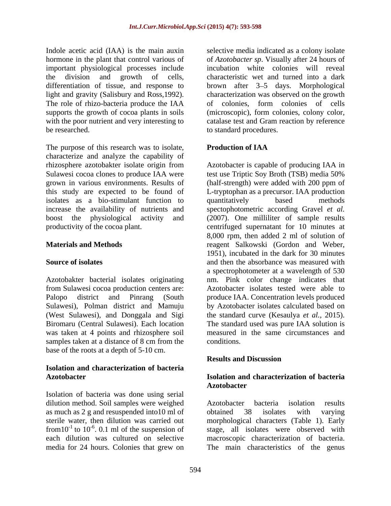important physiological processes include supports the growth of cocoa plants in soils (microscopic), form colonies, colony color, with the poor nutrient and very interesting to<br>
to standard procedures.<br>
to standard procedures. be researched. to standard procedures.

The purpose of this research was to isolate, **Production of IAA** characterize and analyze the capability of isolates as a bio-stimulant function to

Azotobakter bacterial isolates originating was taken at 4 points and rhizosphere soil samples taken at a distance of 8 cm from the conditions. base of the roots at a depth of 5-10 cm.

# **Isolation and characterization of bacteria**

Isolation of bacteria was done using serial dilution method. Soil samples were weighed <br>Azotobacter bacteria isolation results as much as 2 g and resuspended into 10 ml of obtained 38 isolates with varying<br>sterile water, then dilution was carried out morphological characters (Table 1). Early from  $10^{-1}$  to  $10^{-6}$ . 0.1 ml of the suspension of each dilution was cultured on selective

Indole acetic acid (IAA) is the main auxin selective media indicated as a colony isolate hormone in the plant that control various of of *Azotobacter sp*. Visually after 24 hours of the division and growth of cells, characteristic wet and turned into a dark<br>differentiation of tissue, and response to brown after 3–5 days. Morphological light and gravity (Salisbury and Ross,1992). characterization was observed on the growth<br>The role of rhizo-bacteria produce the IAA of colonies, form colonies of cells incubation white colonies will reveal characteristic wet and turned into a dark brown after 3–5 days. Morphological characterization was observed on the growth of colonies, form colonies of cells (microscopic), form colonies, colony color, catalase test and Gram reaction by reference

### **Production of IAA**

rhizosphere azotobakter isolate origin from Azotobacter is capable of producing IAA in Sulawesi cocoa clones to produce IAA were test use Triptic Soy Broth (TSB) media 50% grown in various environments. Results of (half-strength) were added with 200 ppm of this study are expected to be found of L-tryptophan as a precursor. IAA production increase the availability of nutrients and spectophotometric according Gravel *et al.* boost the physiological activity and (2007). One milliliter of sample results productivity of the cocoa plant. centrifuged supernatant for 10 minutes at **Materials and Methods** reagent Salkowski (Gordon and Weber, **Source of isolates** and then the absorbance was measured with from Sulawesi cocoa production centers are: Azotobacter isolates tested were able to Palopo district and Pinrang (South produce IAA. Concentration levels produced Sulawesi), Polman district and Mamuju by Azotobacter isolates calculated based on (West Sulawesi), and Donggala and Sigi the standard curve (Kesaulya *et al.*, 2015). Biromaru (Central Sulawesi). Each location The standard used was pure IAA solution is quantitatively based methods 8,000 rpm, then added 2 ml of solution of 1951), incubated in the dark for 30 minutes a spectrophotometer at a wavelength of 530 nm. Pink color change indicates that measured in the same circumstances and conditions.

### **Results and Discussion**

### **Azotobacter Isolation and characterization of bacteria Azotobacter**

sterile water, then dilution was carried out morphological characters (Table 1). Early -6 . 0.1 ml of the suspension of stage, all isolates were observed with each dilution was cultured on selective macroscopic characterization of bacteria. media for 24 hours. Colonies that grew on The main characteristics of the genus Azotobacter bacteria isolation results obtained 38 isolates with varying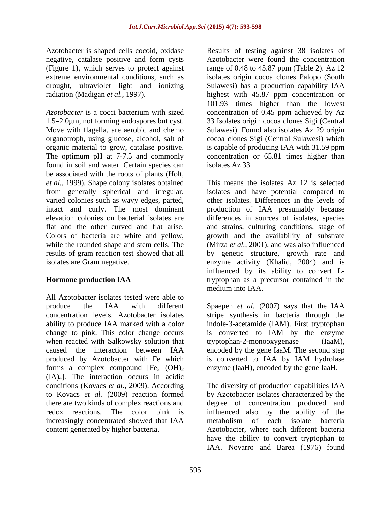negative, catalase positive and form cysts

1.5–2.0 km, not forming endospores but cyst. Move with flagella, are aerobic and chemo found in soil and water. Certain species can isolates Az 33. be associated with the roots of plants (Holt, *et al.,* 1999). Shape colony isolates obtained varied colonies such as wavy edges, parted, while the rounded shape and stem cells. The

All Azotobacter isolates tested were able to produce the IAA with different Spaepen *et al.* (2007) says that the IAA concentration levels. Azotobacter isolates stripe synthesis in bacteria through the ability to produce IAA marked with a color indole-3-acetamide (IAM). First tryptophan change to pink. This color change occurs is converted to IAM by the enzyme when reacted with Salkowsky solution that tryptophan-2-monooxygenase (IaaM), caused the interaction between IAA encoded by the gene IaaM. The second step produced by Azotobacter with Fe which forms a complex compound  $[Fe<sub>2</sub> (OH)<sub>2</sub>]$ (IA)4]. The interaction occurs in acidic conditions (Kovacs *et al.,* 2009). According The diversity of production capabilities IAA to Kovacs *et al.* (2009) reaction formed by Azotobacter isolates characterized by the there are two kinds of complex reactions and degree of concentration produced and redox reactions. The color pink is influenced also by the ability of the increasingly concentrated showed that IAA content generated by higher bacteria. Azotobacter, where each different bacteria

Azotobacter is shaped cells cocoid, oxidase Results of testing against 38 isolates of (Figure 1), which serves to protect against range of 0.48 to 45.87 ppm (Table 2). Az 12 extreme environmental conditions, such as isolates origin cocoa clones Palopo (South drought, ultraviolet light and ionizing Sulawesi) has a production capability IAA radiation (Madigan *et al.,* 1997). highest with 45.87 ppm concentration or *Azotobacter* is a cocci bacterium with sized concentration of 0.45 ppm achieved by Az organotroph, using glucose, alcohol, salt of cocoa clones Sigi (Central Sulawesi) which organic material to grow, catalase positive. is capable of producing IAA with 31.59 ppm The optimum pH at 7-7.5 and commonly concentration or 65.81 times higher than Azotobacter were found the concentration 101.93 times higher than the lowest 33 Isolates origin cocoa clones Sigi (Central Sulawesi). Found also isolates Az 29 origin isolates Az 33.

from generally spherical and irregular, isolates and have potential compared to intact and curly. The most dominant production of IAA presumably because elevation colonies on bacterial isolates are differences in sources of isolates, species flat and the other curved and flat arise. and strains, culturing conditions, stage of Colors of bacteria are white and yellow, growth and the availability of substrate results of gram reaction test showed that all by genetic structure, growth rate and isolates are Gram negative. enzyme activity (Khalid, 2004) and is **Hormone production IAA** tryptophan as a precursor contained in the This means the isolates Az 12 is selected other isolates. Differences in the levels of (Mirza *et al.,* 2001), and was also influenced influenced by its ability to convert Lmedium into IAA.

> is converted to IAM by the enzyme  $tryptophan-2-monooxygenase$ is converted to IAA by IAM hydrolase enzyme (IaaH), encoded by the gene IaaH.

metabolism of each isolate bacteria have the ability to convert tryptophan to IAA. Novarro and Barea (1976) found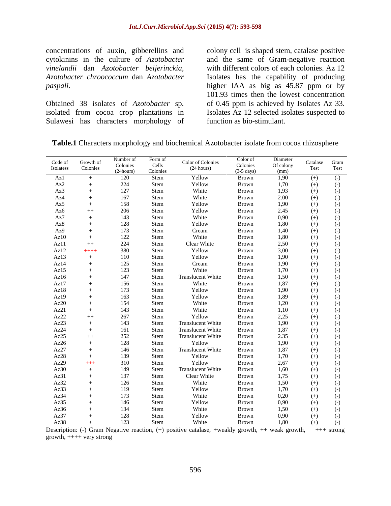Obtained 38 isolates of *Azotobacter* sp. isolated from cocoa crop plantations in Sulawesi has characters morphology of

concentrations of auxin, gibberellins and colony cell is shaped stem, catalase positive cytokinins in the culture of *Azotobacter*  and the same of Gram-negative reaction *vinelandii* dan *Azotobacter beijerinckia*, with different colors of each colonies. Az 12<br>*Azotobacter chroococcum* dan *Azotobacter* Isolates has the capability of producing *paspali*. higher IAA as big as 45.87 ppm or by with different colors of each colonies. Az 12 Isolates has the capability of producing 101.93 times then the lowest concentration of 0.45 ppm is achieved by Isolates Az 33. Isolates Az 12 selected isolates suspected to function as bio-stimulant.

|                                                                                                                                                                                                                                                                                                                                                           |                       | Number of                                 | Form of           |                          | Color of               | Diameter                                                                                                                                                    |                                                                      |
|-----------------------------------------------------------------------------------------------------------------------------------------------------------------------------------------------------------------------------------------------------------------------------------------------------------------------------------------------------------|-----------------------|-------------------------------------------|-------------------|--------------------------|------------------------|-------------------------------------------------------------------------------------------------------------------------------------------------------------|----------------------------------------------------------------------|
| $\operatorname*{Code}\operatorname*{of}% \operatorname*{Id}\nolimits_{\operatorname*{C}}$ Isolatess                                                                                                                                                                                                                                                       | Growth of<br>Colonies |                                           |                   | Color of Colonies        |                        |                                                                                                                                                             | $\begin{tabular}{ll} Catalog & Gram \\ Test & Test \\ \end{tabular}$ |
|                                                                                                                                                                                                                                                                                                                                                           |                       | Colonies<br>(24hours)                     | Cells<br>Colonies | (24 hours)               | Colonies<br>(3-5 days) | Of colony $(mm)$                                                                                                                                            |                                                                      |
|                                                                                                                                                                                                                                                                                                                                                           | $+$                   | 120                                       | Stem              | Yellow                   | Brown                  |                                                                                                                                                             | $(-)$<br>$(+)$                                                       |
| Az1<br>Az2<br>Az3<br>Az4<br>Az5                                                                                                                                                                                                                                                                                                                           | $+$                   | $224\,$                                   | Stem              | Yellow                   | Brown                  | $\frac{1,90}{1,70}$                                                                                                                                         | $(+)$<br>$(-)$                                                       |
|                                                                                                                                                                                                                                                                                                                                                           |                       |                                           |                   |                          |                        |                                                                                                                                                             |                                                                      |
|                                                                                                                                                                                                                                                                                                                                                           | $+$                   | 127                                       | ${\bf Stem}$      | White                    | Brown                  | $1,93$<br>$2.00$                                                                                                                                            | $(+)$<br>$(-)$                                                       |
|                                                                                                                                                                                                                                                                                                                                                           | $+$                   | 167                                       | ${\bf Stem}$      | White                    | Brown                  |                                                                                                                                                             | $(-)$<br>$(+)$                                                       |
|                                                                                                                                                                                                                                                                                                                                                           | $+$                   | 158                                       | Stem              | Yellow                   | Brown                  | 1,90                                                                                                                                                        | $(-)$<br>$(+)$                                                       |
|                                                                                                                                                                                                                                                                                                                                                           | $++$                  | 206                                       | Stem              | Yellow                   | Brown                  |                                                                                                                                                             | $(-)$<br>$(+)$                                                       |
|                                                                                                                                                                                                                                                                                                                                                           | $+$                   | $\begin{array}{c} 143 \\ 128 \end{array}$ | Stem<br>Stem      | White                    | Brown                  |                                                                                                                                                             | $(-)$<br>$(+)$                                                       |
|                                                                                                                                                                                                                                                                                                                                                           | $+$                   |                                           |                   | Yellow                   | Brown                  |                                                                                                                                                             | $(-)$<br>$(+)$                                                       |
|                                                                                                                                                                                                                                                                                                                                                           | $+$                   |                                           | ${\bf Stem}$      |                          | Brown                  |                                                                                                                                                             | $(+)$<br>$(-)$                                                       |
| Az6<br>Az7<br>Az8<br>Az9<br>Az10                                                                                                                                                                                                                                                                                                                          | $+$                   | 173<br>122                                | ${\rm \bf Stem}$  | Cream<br>White           | Brown                  |                                                                                                                                                             | $(-)$<br>$(+)$                                                       |
| Az11                                                                                                                                                                                                                                                                                                                                                      | $++$                  | $224\,$                                   | ${\bf Stem}$      | Clear White              | Brown                  |                                                                                                                                                             | $(+)$                                                                |
|                                                                                                                                                                                                                                                                                                                                                           | $++++$                | 380                                       | ${\bf Stem}$      | Yellow                   | Brown                  |                                                                                                                                                             | $\begin{pmatrix} - \end{pmatrix}$<br>$(+)$                           |
|                                                                                                                                                                                                                                                                                                                                                           |                       | 110                                       |                   | Yellow                   |                        |                                                                                                                                                             |                                                                      |
|                                                                                                                                                                                                                                                                                                                                                           | $+$                   |                                           | Stem              |                          | Brown                  |                                                                                                                                                             | $(-)$<br>$(+)$                                                       |
|                                                                                                                                                                                                                                                                                                                                                           | $+$                   | $125\,$                                   | Stem              | Cream<br>White           | Brown<br>Brown         |                                                                                                                                                             | $(+)$<br>$(-)$                                                       |
|                                                                                                                                                                                                                                                                                                                                                           | $+$                   | 123                                       | ${\bf Stem}$      |                          |                        |                                                                                                                                                             | $(+)$<br>$(-)$                                                       |
|                                                                                                                                                                                                                                                                                                                                                           | $+$                   | 147                                       | Stem              | ranslucent White         | Brown                  |                                                                                                                                                             | $(-)$<br>$(+)$                                                       |
|                                                                                                                                                                                                                                                                                                                                                           | $+$                   |                                           | ${\bf Stem}$      | White                    | Brown                  |                                                                                                                                                             | $(-)$<br>$(+)$                                                       |
|                                                                                                                                                                                                                                                                                                                                                           | $+$                   | 156<br>173                                | ${\bf Stem}$      | Yellow                   | Brown                  | $\begin{array}{c} 2.45 \\ 0.90 \\ 1.80 \\ 1.40 \\ 2.50 \\ 3.00 \\ 1.90 \\ 1.70 \\ 1.50 \\ 1.87 \\ 1.90 \\ 1.89 \\ 1.20 \\ 1.10 \\ 2.25 \\ 1.90 \end{array}$ | $(-)$<br>$(+)$                                                       |
|                                                                                                                                                                                                                                                                                                                                                           | $+$                   | $\frac{163}{154}$                         | Stem              | Yellow<br>White          | Brown                  |                                                                                                                                                             | $(-)$<br>$(+)$                                                       |
|                                                                                                                                                                                                                                                                                                                                                           | $+$                   |                                           | ${\bf Stem}$      |                          | Brown                  |                                                                                                                                                             | $(+)$<br>$(-)$                                                       |
|                                                                                                                                                                                                                                                                                                                                                           | $+$                   | 143                                       |                   |                          |                        |                                                                                                                                                             | $(+)$<br>$(-)$                                                       |
|                                                                                                                                                                                                                                                                                                                                                           | $++$                  | 267                                       | Stem<br>Stem      | White<br>Yellow          | Brown<br>Brown         |                                                                                                                                                             | $(+)$<br>$(-)$                                                       |
|                                                                                                                                                                                                                                                                                                                                                           | $+$                   | 143                                       | Stem              | <b>Translucent White</b> | Brown                  |                                                                                                                                                             | $(-)$<br>$(+)$                                                       |
|                                                                                                                                                                                                                                                                                                                                                           | $+$                   | 161                                       | Stem              | <b>Translucent White</b> | Brown                  |                                                                                                                                                             | $(-)$<br>$(+)$                                                       |
|                                                                                                                                                                                                                                                                                                                                                           | $++$                  | 252                                       | Stem              | <b>Translucent White</b> | Brown                  |                                                                                                                                                             | $(+)$<br>$(-)$                                                       |
|                                                                                                                                                                                                                                                                                                                                                           |                       |                                           |                   |                          |                        |                                                                                                                                                             |                                                                      |
| $\begin{array}{l} \text{A}z12 \\ \text{A}z13 \\ \text{A}z14 \\ \text{A}z15 \\ \text{A}z16 \\ \text{A}z17 \\ \text{A}z18 \\ \text{A}z19 \\ \text{A}z20 \\ \text{A}z22 \\ \text{A}z22 \\ \text{A}z22 \\ \text{A}z24 \\ \text{A}z25 \\ \text{A}z26 \\ \text{A}z27 \\ \text{A}z28 \\ \text{A}z30 \\ \text{A}z31 \\ \text{A}z32 \\ \text{A}z33 \\ \end{array}$ | $+$                   | 128<br>146                                | Stem              | Yellow                   | Brown                  | $1,87$<br>2.35<br>1,90<br>1,87                                                                                                                              | $(+)$<br>$(-)$                                                       |
|                                                                                                                                                                                                                                                                                                                                                           | $+$                   |                                           | Stem              | <b>Translucent White</b> | Brown                  |                                                                                                                                                             | $(+)$<br>$(-)$                                                       |
|                                                                                                                                                                                                                                                                                                                                                           | $+$                   | 139                                       | Stem              | Yellow                   | Brown                  | $1,70$<br>2,67                                                                                                                                              | $(-)$<br>$(+)$                                                       |
|                                                                                                                                                                                                                                                                                                                                                           | $+ + +$               | 310                                       | ${\bf Stem}$      | Yellow                   | Brown                  |                                                                                                                                                             | $(-)$<br>$(+)$                                                       |
|                                                                                                                                                                                                                                                                                                                                                           | $+$                   | 149                                       | Stem              | <b>Translucent White</b> | Brown                  | 1,60                                                                                                                                                        | $(-)$<br>$(+)$                                                       |
|                                                                                                                                                                                                                                                                                                                                                           | $+$                   | 137                                       | ${\bf Stem}$      | Clear White              | Brown                  | $1,75$<br>1,50                                                                                                                                              | $(-)$<br>$(+)$                                                       |
|                                                                                                                                                                                                                                                                                                                                                           | $+$                   | 126                                       | ${\bf Stem}$      | White                    | Brown                  |                                                                                                                                                             | $(+)$<br>$(-)$                                                       |
|                                                                                                                                                                                                                                                                                                                                                           | $+$                   | 119                                       | Stem              | Yellow                   | Brown                  | 1,70                                                                                                                                                        | $(+)$<br>$(-)$                                                       |
|                                                                                                                                                                                                                                                                                                                                                           | $+$                   | 173                                       | Stem              | White                    | Brown                  | 0,20                                                                                                                                                        | $(+)$<br>$(-)$                                                       |
| Az34<br>Az35                                                                                                                                                                                                                                                                                                                                              | $+$                   | 146                                       | Stem              | Yellow                   | Brown                  | 0,90                                                                                                                                                        | $(-)$<br>$(+)$                                                       |
| Az36                                                                                                                                                                                                                                                                                                                                                      | $+$                   | 134                                       | Stem              | White                    | Brown                  | $\begin{array}{c} 1,50 \\ 0,90 \\ 1,80 \end{array}$                                                                                                         | $(-)$<br>$(+)$                                                       |
|                                                                                                                                                                                                                                                                                                                                                           |                       | 128                                       | Stem              | Yellow                   | Brown                  |                                                                                                                                                             |                                                                      |
| Az37<br>Az38                                                                                                                                                                                                                                                                                                                                              | $+$                   |                                           |                   |                          |                        |                                                                                                                                                             | $(-)$<br>$(+)$                                                       |

Description: (-) Gram Negative reaction, (+) positive catalase, +weakly growth, ++ weak growth, +++ strong growth, ++++ very strong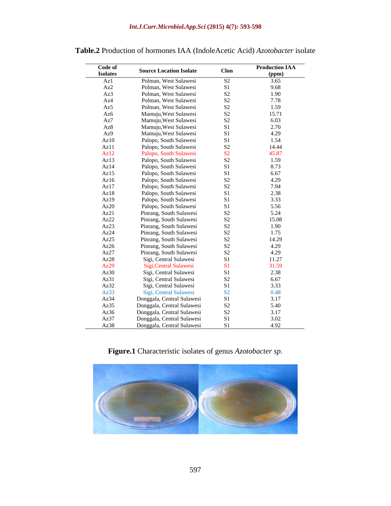| Code of         |                                |                      | <b>Production IAA</b>       |
|-----------------|--------------------------------|----------------------|-----------------------------|
| <b>Isolates</b> | <b>Source Location Isolate</b> | Clon                 |                             |
| Az 1            | Polman, West Sulawesi          | S <sub>2</sub>       | $\frac{\text{(ppm)}}{3.65}$ |
| Az2             | Polman, West Sulawesi          | S1                   | 9.68                        |
| Az3             | Polman, West Sulawesi          | S <sub>2</sub>       | 1.90                        |
| Az4             | Polman, West Sulawesi          | S <sub>2</sub>       | 7.78                        |
| Az5             | Polman, West Sulawesi          | S <sub>2</sub>       | 1.59                        |
| Az6             | Mamuju, West Sulawesi          | $\mathbf{S2}$        | 15.71                       |
| Az7             | Mamuju, West Sulawesi          | $\mathbf{S2}$        | $6.03$<br>2.70              |
| Az8             | Mamuju, West Sulawesi          | $\mathbf{S}$         |                             |
| Az9             | Mamuju, West Sulawesi          | S <sub>1</sub>       | 4.29                        |
| Az10            | Palopo, South Sulawesi         | C <sub>1</sub>       | 1.54                        |
| Az11            | Palopo, South Sulawesi         | S <sub>2</sub>       | 14.44                       |
| Az12            | Palopo, South Sulawesi         | S <sub>2</sub>       | 45.87                       |
| Az13            | Palopo, South Sulawesi         | S <sub>2</sub>       | 1.59                        |
| Az14            | Palopo, South Sulawesi         | S <sub>1</sub>       | 8.73                        |
| Az15            | Palopo, South Sulawesi         | S <sub>1</sub>       | 6.67                        |
| Az16            | Palopo, South Sulawesi         | S <sub>2</sub>       | $4.29$<br>$7.94$            |
| Az17            | Palopo, South Sulawesi         | $\mathbf{S2}$        |                             |
| Az18            | Palopo, South Sulawesi         | S1                   |                             |
| Az19            | Palopo, South Sulawesi         | C <sub>1</sub>       | 2.38<br>3.33<br>5.56        |
| Az20            | Palopo, South Sulawesi         |                      |                             |
| Az21            | Pinrang, South Sulawesi        | S <sub>2</sub>       | $5.24$<br>$15.08$<br>$1.90$ |
| Az22            | Pinrang, South Sulawesi        | S <sub>2</sub>       |                             |
| Az23            | Pinrang, South Sulawesi        | S <sub>2</sub>       |                             |
| Az24            | Pinrang, South Sulawesi        | S <sub>2</sub>       | 1.75                        |
| Az25            | Pinrang, South Sulawesi        | $_{\rm S2}^{\rm S2}$ | $\frac{14.29}{4.29}$        |
| Az26            | Pinrang, South Sulawesi        |                      |                             |
| Az27            | Pinrang, South Sulawesi        | $\frac{S2}{S1}$      | 4.29                        |
| Az28            | Sigi, Central Sulawesi         |                      | 11.27                       |
| Az29            | Sigi, Central Sulawesi         | S1                   | 31.59                       |
| Az30            | Sigi, Central Sulawesi         | S <sub>1</sub>       | 2.38                        |
| Az31            | Sigi, Central Sulawesi         | S <sub>2</sub>       | $6.67$<br>$3.33$            |
| Az32            | Sigi, Central Sulawesi         | S <sub>1</sub>       |                             |
| Az33            | Sigi, Central Sulawesi         | S <sub>2</sub>       | 0.48                        |
| Az34            | Donggala, Central Sulawesi     | S1                   | $3.17$<br>$5.40$            |
| Az35            | Donggala, Central Sulawesi     | S <sub>2</sub>       |                             |
| Az36            | Donggala, Central Sulawesi     | S <sub>2</sub>       | 3.17                        |
| Az37            | Donggala, Central Sulawesi     |                      | $\frac{3.02}{4.92}$         |
| Az38            | Donggala, Central Sulawesi     | S <sub>1</sub>       |                             |

## **Table.2** Production of hormones IAA (IndoleAcetic Acid) *Azotobacter* isolate

**Figure.1** Characteristic isolates of genus *Azotobacter sp.*